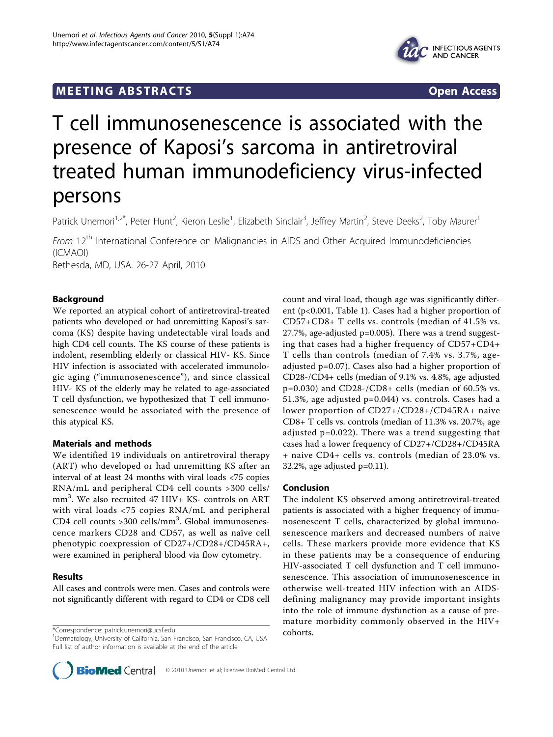## **MEETING ABSTRACTS** THE RESERVING ABSOLUTE A SERVICE SERVICES AND SERVICES OPEN ACCESS



# T cell immunosenescence is associated with the presence of Kaposi's sarcoma in antiretroviral treated human immunodeficiency virus-infected persons

Patrick Unemori<sup>1,2\*</sup>, Peter Hunt<sup>2</sup>, Kieron Leslie<sup>1</sup>, Elizabeth Sinclair<sup>3</sup>, Jeffrey Martin<sup>2</sup>, Steve Deeks<sup>2</sup>, Toby Maurer<sup>1</sup>

From 12<sup>th</sup> International Conference on Malignancies in AIDS and Other Acquired Immunodeficiencies (ICMAOI) Bethesda, MD, USA. 26-27 April, 2010

Background

We reported an atypical cohort of antiretroviral-treated patients who developed or had unremitting Kaposi's sarcoma (KS) despite having undetectable viral loads and high CD4 cell counts. The KS course of these patients is indolent, resembling elderly or classical HIV- KS. Since HIV infection is associated with accelerated immunologic aging ("immunosenescence"), and since classical HIV- KS of the elderly may be related to age-associated T cell dysfunction, we hypothesized that T cell immunosenescence would be associated with the presence of this atypical KS.

### Materials and methods

We identified 19 individuals on antiretroviral therapy (ART) who developed or had unremitting KS after an interval of at least 24 months with viral loads <75 copies RNA/mL and peripheral CD4 cell counts >300 cells/ mm<sup>3</sup> . We also recruited 47 HIV+ KS- controls on ART with viral loads <75 copies RNA/mL and peripheral CD4 cell counts >300 cells/mm<sup>3</sup>. Global immunosenescence markers CD28 and CD57, as well as naïve cell phenotypic coexpression of CD27+/CD28+/CD45RA+, were examined in peripheral blood via flow cytometry.

### Results

All cases and controls were men. Cases and controls were not significantly different with regard to CD4 or CD8 cell

\*Correspondence: [patrick.unemori@ucsf.edu](mailto:patrick.unemori@ucsf.edu)<br>
a

count and viral load, though age was significantly different (p<0.001, Table [1](#page-1-0)). Cases had a higher proportion of CD57+CD8+ T cells vs. controls (median of 41.5% vs. 27.7%, age-adjusted p=0.005). There was a trend suggesting that cases had a higher frequency of CD57+CD4+ T cells than controls (median of 7.4% vs. 3.7%, ageadjusted p=0.07). Cases also had a higher proportion of CD28-/CD4+ cells (median of 9.1% vs. 4.8%, age adjusted  $p=0.030$ ) and CD28-/CD8+ cells (median of 60.5% vs. 51.3%, age adjusted p=0.044) vs. controls. Cases had a lower proportion of CD27+/CD28+/CD45RA+ naive CD8+ T cells vs. controls (median of 11.3% vs. 20.7%, age adjusted p=0.022). There was a trend suggesting that cases had a lower frequency of CD27+/CD28+/CD45RA + naive CD4+ cells vs. controls (median of 23.0% vs.  $32.2\%$ , age adjusted  $p=0.11$ ).

### Conclusion

The indolent KS observed among antiretroviral-treated patients is associated with a higher frequency of immunosenescent T cells, characterized by global immunosenescence markers and decreased numbers of naive cells. These markers provide more evidence that KS in these patients may be a consequence of enduring HIV-associated T cell dysfunction and T cell immunosenescence. This association of immunosenescence in otherwise well-treated HIV infection with an AIDSdefining malignancy may provide important insights into the role of immune dysfunction as a cause of premature morbidity commonly observed in the HIV+



<sup>&</sup>lt;sup>1</sup>Dermatology, University of California, San Francisco, San Francisco, CA, USA Full list of author information is available at the end of the article